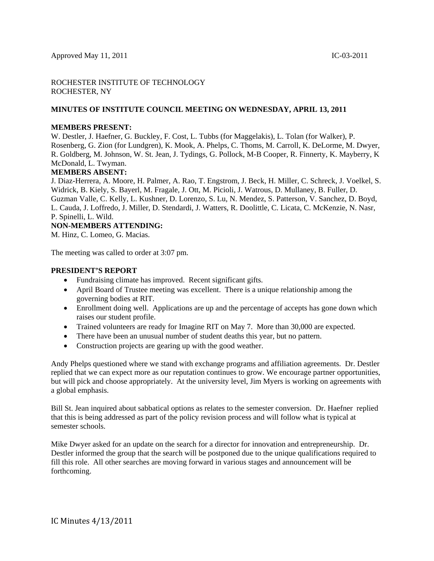# ROCHESTER INSTITUTE OF TECHNOLOGY ROCHESTER, NY

# **MINUTES OF INSTITUTE COUNCIL MEETING ON WEDNESDAY, APRIL 13, 2011**

#### **MEMBERS PRESENT:**

W. Destler, J. Haefner, G. Buckley, F. Cost, L. Tubbs (for Maggelakis), L. Tolan (for Walker), P. Rosenberg, G. Zion (for Lundgren), K. Mook, A. Phelps, C. Thoms, M. Carroll, K. DeLorme, M. Dwyer, R. Goldberg, M. Johnson, W. St. Jean, J. Tydings, G. Pollock, M-B Cooper, R. Finnerty, K. Mayberry, K McDonald, L. Twyman.

# **MEMBERS ABSENT:**

J. Diaz-Herrera, A. Moore, H. Palmer, A. Rao, T. Engstrom, J. Beck, H. Miller, C. Schreck, J. Voelkel, S. Widrick, B. Kiely, S. Bayerl, M. Fragale, J. Ott, M. Picioli, J. Watrous, D. Mullaney, B. Fuller, D. Guzman Valle, C. Kelly, L. Kushner, D. Lorenzo, S. Lu, N. Mendez, S. Patterson, V. Sanchez, D. Boyd, L. Cauda, J. Loffredo, J. Miller, D. Stendardi, J. Watters, R. Doolittle, C. Licata, C. McKenzie, N. Nasr, P. Spinelli, L. Wild.

**NON-MEMBERS ATTENDING:** 

M. Hinz, C. Lomeo, G. Macias.

The meeting was called to order at 3:07 pm.

#### **PRESIDENT'S REPORT**

- Fundraising climate has improved. Recent significant gifts.
- April Board of Trustee meeting was excellent. There is a unique relationship among the governing bodies at RIT.
- Enrollment doing well. Applications are up and the percentage of accepts has gone down which raises our student profile.
- Trained volunteers are ready for Imagine RIT on May 7. More than 30,000 are expected.
- There have been an unusual number of student deaths this year, but no pattern.
- Construction projects are gearing up with the good weather.

Andy Phelps questioned where we stand with exchange programs and affiliation agreements. Dr. Destler replied that we can expect more as our reputation continues to grow. We encourage partner opportunities, but will pick and choose appropriately. At the university level, Jim Myers is working on agreements with a global emphasis.

Bill St. Jean inquired about sabbatical options as relates to the semester conversion. Dr. Haefner replied that this is being addressed as part of the policy revision process and will follow what is typical at semester schools.

Mike Dwyer asked for an update on the search for a director for innovation and entrepreneurship. Dr. Destler informed the group that the search will be postponed due to the unique qualifications required to fill this role. All other searches are moving forward in various stages and announcement will be forthcoming.